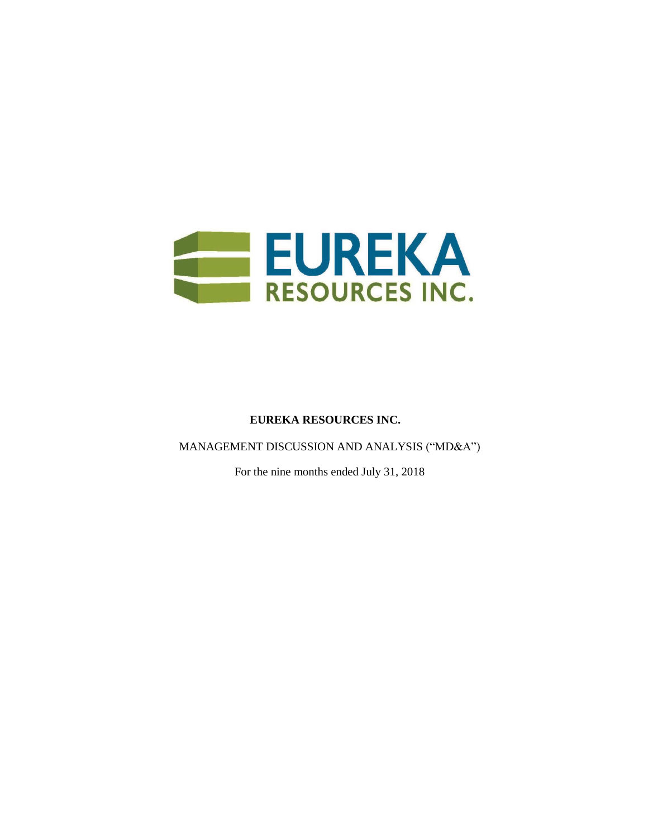

# **EUREKA RESOURCES INC.**

MANAGEMENT DISCUSSION AND ANALYSIS ("MD&A")

For the nine months ended July 31, 2018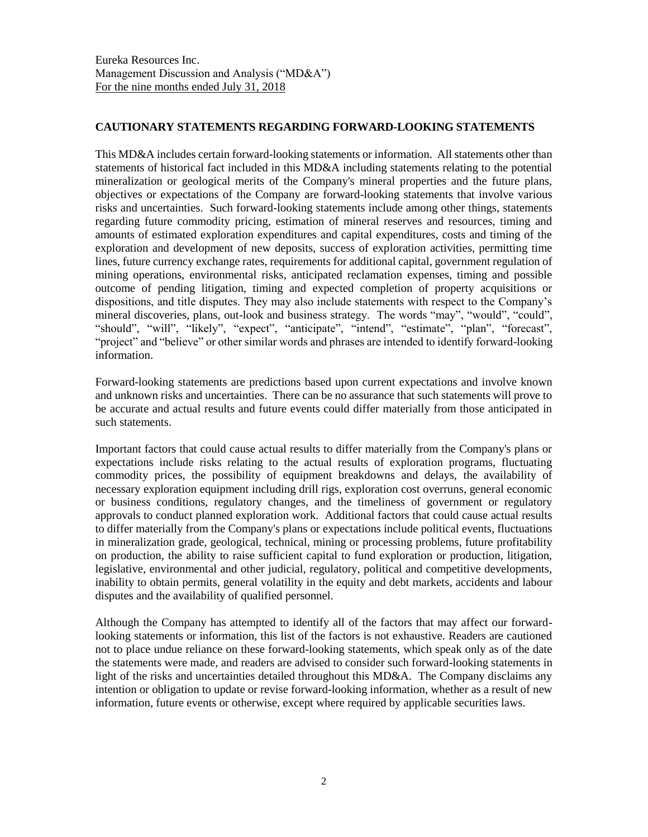# **CAUTIONARY STATEMENTS REGARDING FORWARD-LOOKING STATEMENTS**

This MD&A includes certain forward-looking statements or information. All statements other than statements of historical fact included in this MD&A including statements relating to the potential mineralization or geological merits of the Company's mineral properties and the future plans, objectives or expectations of the Company are forward-looking statements that involve various risks and uncertainties. Such forward-looking statements include among other things, statements regarding future commodity pricing, estimation of mineral reserves and resources, timing and amounts of estimated exploration expenditures and capital expenditures, costs and timing of the exploration and development of new deposits, success of exploration activities, permitting time lines, future currency exchange rates, requirements for additional capital, government regulation of mining operations, environmental risks, anticipated reclamation expenses, timing and possible outcome of pending litigation, timing and expected completion of property acquisitions or dispositions, and title disputes. They may also include statements with respect to the Company's mineral discoveries, plans, out-look and business strategy. The words "may", "would", "could", "should", "will", "likely", "expect", "anticipate", "intend", "estimate", "plan", "forecast", "project" and "believe" or other similar words and phrases are intended to identify forward-looking information.

Forward-looking statements are predictions based upon current expectations and involve known and unknown risks and uncertainties. There can be no assurance that such statements will prove to be accurate and actual results and future events could differ materially from those anticipated in such statements.

Important factors that could cause actual results to differ materially from the Company's plans or expectations include risks relating to the actual results of exploration programs, fluctuating commodity prices, the possibility of equipment breakdowns and delays, the availability of necessary exploration equipment including drill rigs, exploration cost overruns, general economic or business conditions, regulatory changes, and the timeliness of government or regulatory approvals to conduct planned exploration work. Additional factors that could cause actual results to differ materially from the Company's plans or expectations include political events, fluctuations in mineralization grade, geological, technical, mining or processing problems, future profitability on production, the ability to raise sufficient capital to fund exploration or production, litigation, legislative, environmental and other judicial, regulatory, political and competitive developments, inability to obtain permits, general volatility in the equity and debt markets, accidents and labour disputes and the availability of qualified personnel.

Although the Company has attempted to identify all of the factors that may affect our forwardlooking statements or information, this list of the factors is not exhaustive. Readers are cautioned not to place undue reliance on these forward-looking statements, which speak only as of the date the statements were made, and readers are advised to consider such forward-looking statements in light of the risks and uncertainties detailed throughout this MD&A. The Company disclaims any intention or obligation to update or revise forward-looking information, whether as a result of new information, future events or otherwise, except where required by applicable securities laws.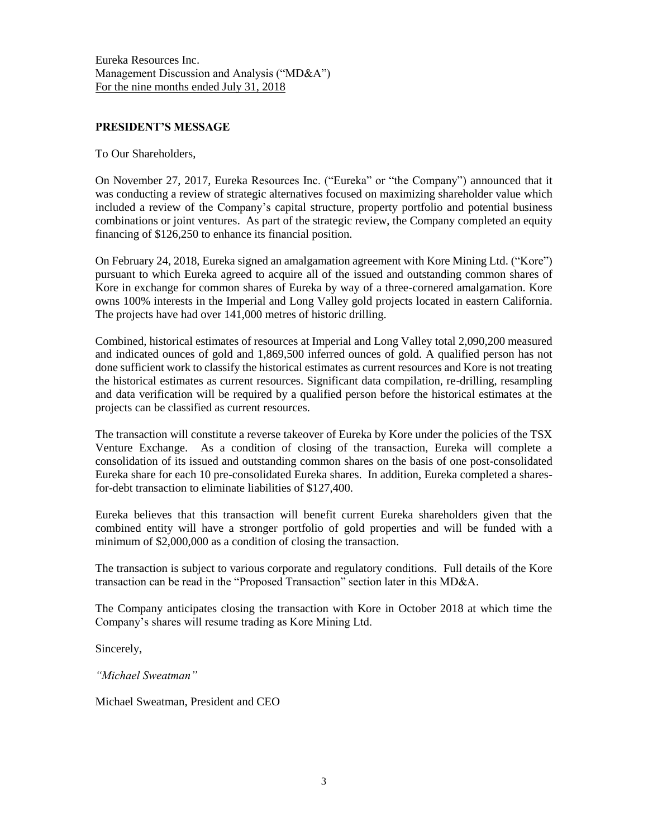### **PRESIDENT'S MESSAGE**

To Our Shareholders,

On November 27, 2017, Eureka Resources Inc. ("Eureka" or "the Company") announced that it was conducting a review of strategic alternatives focused on maximizing shareholder value which included a review of the Company's capital structure, property portfolio and potential business combinations or joint ventures. As part of the strategic review, the Company completed an equity financing of \$126,250 to enhance its financial position.

On February 24, 2018, Eureka signed an amalgamation agreement with Kore Mining Ltd. ("Kore") pursuant to which Eureka agreed to acquire all of the issued and outstanding common shares of Kore in exchange for common shares of Eureka by way of a three-cornered amalgamation. Kore owns 100% interests in the Imperial and Long Valley gold projects located in eastern California. The projects have had over 141,000 metres of historic drilling.

Combined, historical estimates of resources at Imperial and Long Valley total 2,090,200 measured and indicated ounces of gold and 1,869,500 inferred ounces of gold. A qualified person has not done sufficient work to classify the historical estimates as current resources and Kore is not treating the historical estimates as current resources. Significant data compilation, re-drilling, resampling and data verification will be required by a qualified person before the historical estimates at the projects can be classified as current resources.

The transaction will constitute a reverse takeover of Eureka by Kore under the policies of the TSX Venture Exchange. As a condition of closing of the transaction, Eureka will complete a consolidation of its issued and outstanding common shares on the basis of one post-consolidated Eureka share for each 10 pre-consolidated Eureka shares. In addition, Eureka completed a sharesfor-debt transaction to eliminate liabilities of \$127,400.

Eureka believes that this transaction will benefit current Eureka shareholders given that the combined entity will have a stronger portfolio of gold properties and will be funded with a minimum of \$2,000,000 as a condition of closing the transaction.

The transaction is subject to various corporate and regulatory conditions. Full details of the Kore transaction can be read in the "Proposed Transaction" section later in this MD&A.

The Company anticipates closing the transaction with Kore in October 2018 at which time the Company's shares will resume trading as Kore Mining Ltd.

Sincerely,

*"Michael Sweatman"*

Michael Sweatman, President and CEO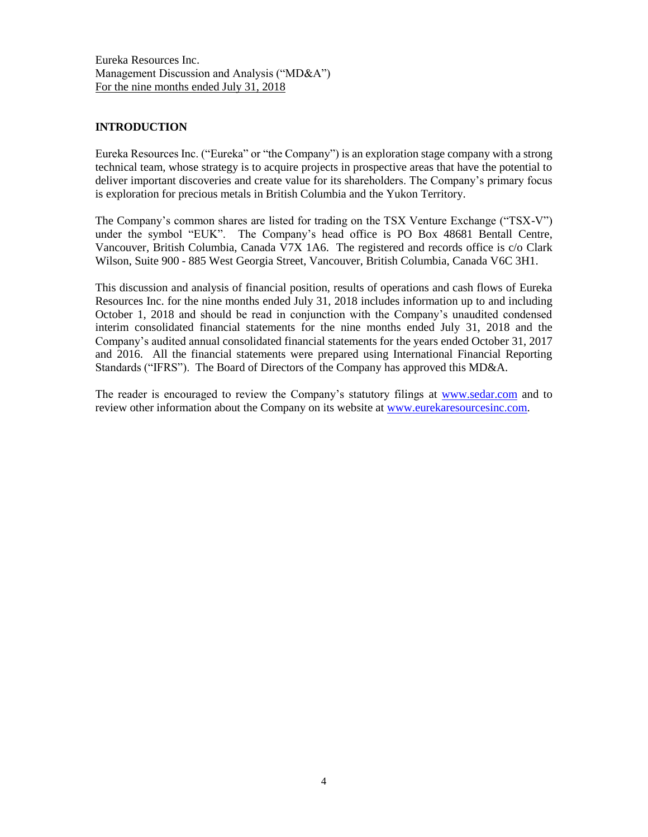## **INTRODUCTION**

Eureka Resources Inc. ("Eureka" or "the Company") is an exploration stage company with a strong technical team, whose strategy is to acquire projects in prospective areas that have the potential to deliver important discoveries and create value for its shareholders. The Company's primary focus is exploration for precious metals in British Columbia and the Yukon Territory.

The Company's common shares are listed for trading on the TSX Venture Exchange ("TSX-V") under the symbol "EUK". The Company's head office is PO Box 48681 Bentall Centre, Vancouver, British Columbia, Canada V7X 1A6. The registered and records office is c/o Clark Wilson, Suite 900 - 885 West Georgia Street, Vancouver, British Columbia, Canada V6C 3H1.

This discussion and analysis of financial position, results of operations and cash flows of Eureka Resources Inc. for the nine months ended July 31, 2018 includes information up to and including October 1, 2018 and should be read in conjunction with the Company's unaudited condensed interim consolidated financial statements for the nine months ended July 31, 2018 and the Company's audited annual consolidated financial statements for the years ended October 31, 2017 and 2016. All the financial statements were prepared using International Financial Reporting Standards ("IFRS"). The Board of Directors of the Company has approved this MD&A.

The reader is encouraged to review the Company's statutory filings at [www.sedar.com](http://www.sedar.com/) and to review other information about the Company on its website at [www.eurekaresourcesinc.com.](http://www.eurekaresourcesinc.com/)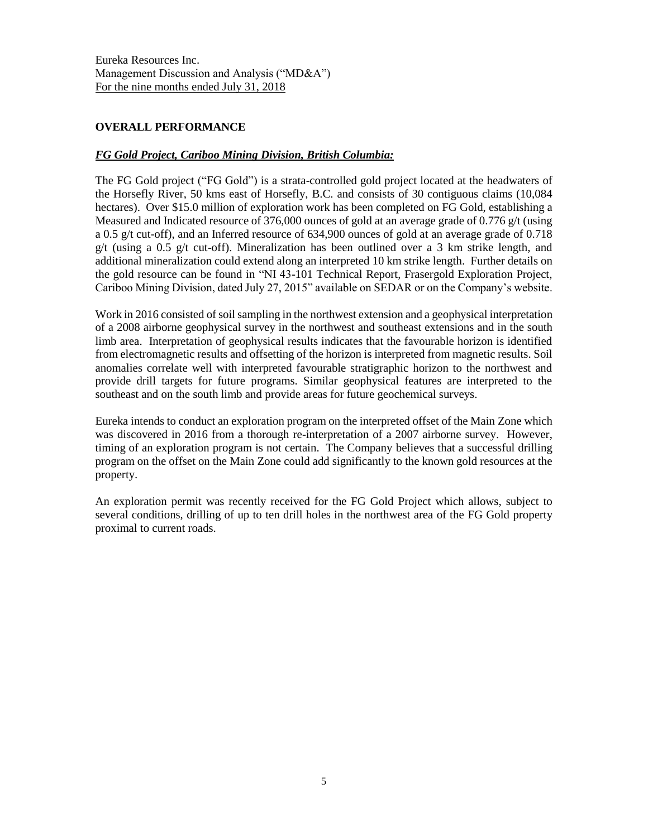# **OVERALL PERFORMANCE**

# *FG Gold Project, Cariboo Mining Division, British Columbia:*

The FG Gold project ("FG Gold") is a strata-controlled gold project located at the headwaters of the Horsefly River, 50 kms east of Horsefly, B.C. and consists of 30 contiguous claims (10,084 hectares). Over \$15.0 million of exploration work has been completed on FG Gold, establishing a Measured and Indicated resource of 376,000 ounces of gold at an average grade of 0.776 g/t (using a 0.5 g/t cut-off), and an Inferred resource of 634,900 ounces of gold at an average grade of 0.718  $g/t$  (using a 0.5 g/t cut-off). Mineralization has been outlined over a 3 km strike length, and additional mineralization could extend along an interpreted 10 km strike length. Further details on the gold resource can be found in "NI 43-101 Technical Report, Frasergold Exploration Project, Cariboo Mining Division, dated July 27, 2015" available on SEDAR or on the Company's website.

Work in 2016 consisted of soil sampling in the northwest extension and a geophysical interpretation of a 2008 airborne geophysical survey in the northwest and southeast extensions and in the south limb area. Interpretation of geophysical results indicates that the favourable horizon is identified from electromagnetic results and offsetting of the horizon is interpreted from magnetic results. Soil anomalies correlate well with interpreted favourable stratigraphic horizon to the northwest and provide drill targets for future programs. Similar geophysical features are interpreted to the southeast and on the south limb and provide areas for future geochemical surveys.

Eureka intends to conduct an exploration program on the interpreted offset of the Main Zone which was discovered in 2016 from a thorough re-interpretation of a 2007 airborne survey. However, timing of an exploration program is not certain. The Company believes that a successful drilling program on the offset on the Main Zone could add significantly to the known gold resources at the property.

An exploration permit was recently received for the FG Gold Project which allows, subject to several conditions, drilling of up to ten drill holes in the northwest area of the FG Gold property proximal to current roads.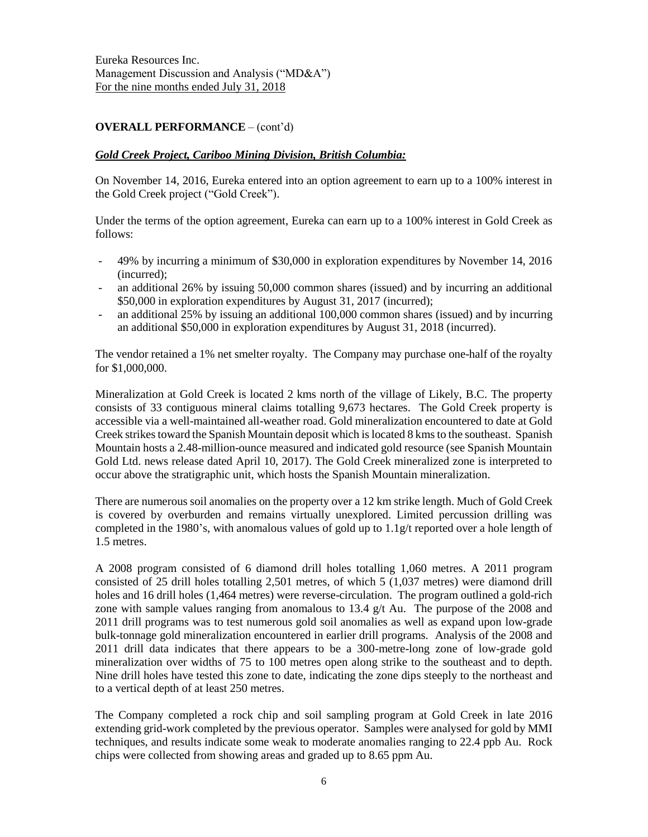# **OVERALL PERFORMANCE** – (cont'd)

#### *Gold Creek Project, Cariboo Mining Division, British Columbia:*

On November 14, 2016, Eureka entered into an option agreement to earn up to a 100% interest in the Gold Creek project ("Gold Creek").

Under the terms of the option agreement, Eureka can earn up to a 100% interest in Gold Creek as follows:

- 49% by incurring a minimum of \$30,000 in exploration expenditures by November 14, 2016 (incurred);
- an additional 26% by issuing 50,000 common shares (issued) and by incurring an additional \$50,000 in exploration expenditures by August 31, 2017 (incurred);
- an additional 25% by issuing an additional 100,000 common shares (issued) and by incurring an additional \$50,000 in exploration expenditures by August 31, 2018 (incurred).

The vendor retained a 1% net smelter royalty. The Company may purchase one-half of the royalty for \$1,000,000.

Mineralization at Gold Creek is located 2 kms north of the village of Likely, B.C. The property consists of 33 contiguous mineral claims totalling 9,673 hectares. The Gold Creek property is accessible via a well-maintained all-weather road. Gold mineralization encountered to date at Gold Creek strikes toward the Spanish Mountain deposit which is located 8 kmsto the southeast. Spanish Mountain hosts a 2.48-million-ounce measured and indicated gold resource (see Spanish Mountain Gold Ltd. news release dated April 10, 2017). The Gold Creek mineralized zone is interpreted to occur above the stratigraphic unit, which hosts the Spanish Mountain mineralization.

There are numerous soil anomalies on the property over a 12 km strike length. Much of Gold Creek is covered by overburden and remains virtually unexplored. Limited percussion drilling was completed in the 1980's, with anomalous values of gold up to 1.1g/t reported over a hole length of 1.5 metres.

A 2008 program consisted of 6 diamond drill holes totalling 1,060 metres. A 2011 program consisted of 25 drill holes totalling 2,501 metres, of which 5 (1,037 metres) were diamond drill holes and 16 drill holes (1,464 metres) were reverse-circulation. The program outlined a gold-rich zone with sample values ranging from anomalous to 13.4 g/t Au. The purpose of the 2008 and 2011 drill programs was to test numerous gold soil anomalies as well as expand upon low-grade bulk-tonnage gold mineralization encountered in earlier drill programs. Analysis of the 2008 and 2011 drill data indicates that there appears to be a 300-metre-long zone of low-grade gold mineralization over widths of 75 to 100 metres open along strike to the southeast and to depth. Nine drill holes have tested this zone to date, indicating the zone dips steeply to the northeast and to a vertical depth of at least 250 metres.

The Company completed a rock chip and soil sampling program at Gold Creek in late 2016 extending grid-work completed by the previous operator. Samples were analysed for gold by MMI techniques, and results indicate some weak to moderate anomalies ranging to 22.4 ppb Au. Rock chips were collected from showing areas and graded up to 8.65 ppm Au.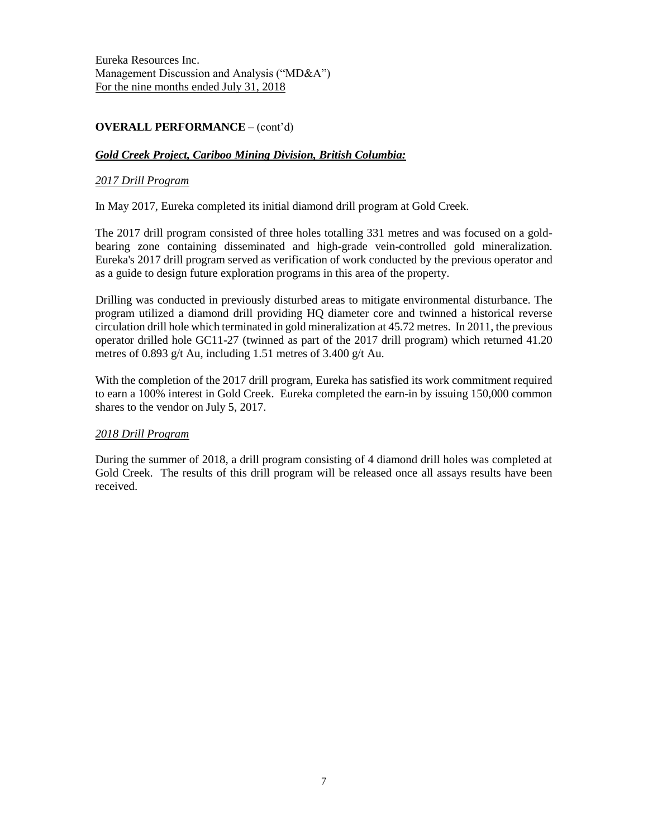# **OVERALL PERFORMANCE** – (cont'd)

## *Gold Creek Project, Cariboo Mining Division, British Columbia:*

#### *2017 Drill Program*

In May 2017, Eureka completed its initial diamond drill program at Gold Creek.

The 2017 drill program consisted of three holes totalling 331 metres and was focused on a goldbearing zone containing disseminated and high-grade vein-controlled gold mineralization. Eureka's 2017 drill program served as verification of work conducted by the previous operator and as a guide to design future exploration programs in this area of the property.

Drilling was conducted in previously disturbed areas to mitigate environmental disturbance. The program utilized a diamond drill providing HQ diameter core and twinned a historical reverse circulation drill hole which terminated in gold mineralization at 45.72 metres. In 2011, the previous operator drilled hole GC11-27 (twinned as part of the 2017 drill program) which returned 41.20 metres of 0.893 g/t Au, including 1.51 metres of 3.400 g/t Au.

With the completion of the 2017 drill program, Eureka has satisfied its work commitment required to earn a 100% interest in Gold Creek. Eureka completed the earn-in by issuing 150,000 common shares to the vendor on July 5, 2017.

### *2018 Drill Program*

During the summer of 2018, a drill program consisting of 4 diamond drill holes was completed at Gold Creek. The results of this drill program will be released once all assays results have been received.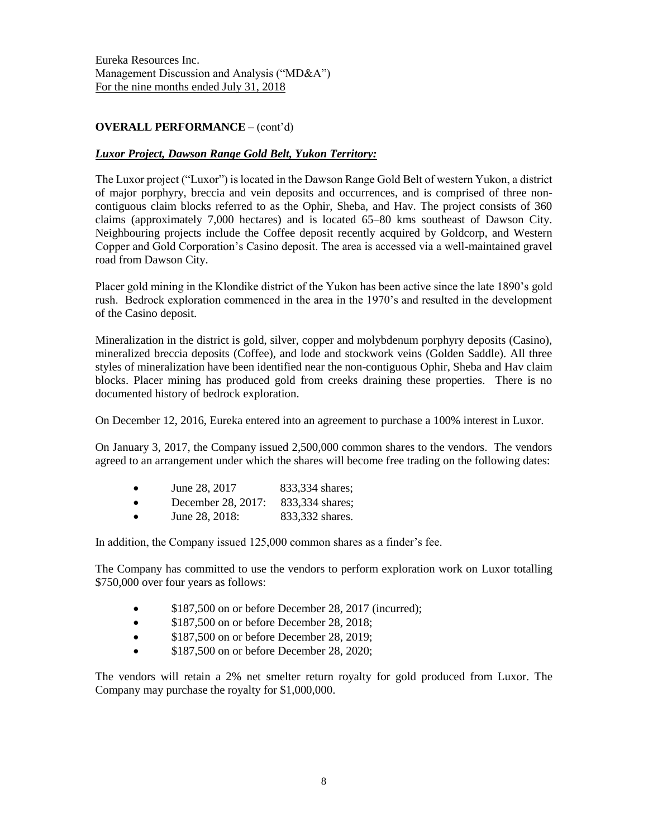# **OVERALL PERFORMANCE** – (cont'd)

# *Luxor Project, Dawson Range Gold Belt, Yukon Territory:*

The Luxor project ("Luxor") is located in the Dawson Range Gold Belt of western Yukon, a district of major porphyry, breccia and vein deposits and occurrences, and is comprised of three noncontiguous claim blocks referred to as the Ophir, Sheba, and Hav. The project consists of 360 claims (approximately 7,000 hectares) and is located 65–80 kms southeast of Dawson City. Neighbouring projects include the Coffee deposit recently acquired by Goldcorp, and Western Copper and Gold Corporation's Casino deposit. The area is accessed via a well-maintained gravel road from Dawson City.

Placer gold mining in the Klondike district of the Yukon has been active since the late 1890's gold rush. Bedrock exploration commenced in the area in the 1970's and resulted in the development of the Casino deposit.

Mineralization in the district is gold, silver, copper and molybdenum porphyry deposits (Casino), mineralized breccia deposits (Coffee), and lode and stockwork veins (Golden Saddle). All three styles of mineralization have been identified near the non-contiguous Ophir, Sheba and Hav claim blocks. Placer mining has produced gold from creeks draining these properties. There is no documented history of bedrock exploration.

On December 12, 2016, Eureka entered into an agreement to purchase a 100% interest in Luxor.

On January 3, 2017, the Company issued 2,500,000 common shares to the vendors. The vendors agreed to an arrangement under which the shares will become free trading on the following dates:

- December 28, 2017: 833,334 shares;
- June 28, 2018: 833,332 shares.

In addition, the Company issued 125,000 common shares as a finder's fee.

The Company has committed to use the vendors to perform exploration work on Luxor totalling \$750,000 over four years as follows:

- \$187,500 on or before December 28, 2017 (incurred);
- \$187,500 on or before December 28, 2018;
- \$187,500 on or before December 28, 2019;
- \$187,500 on or before December 28, 2020;

The vendors will retain a 2% net smelter return royalty for gold produced from Luxor. The Company may purchase the royalty for \$1,000,000.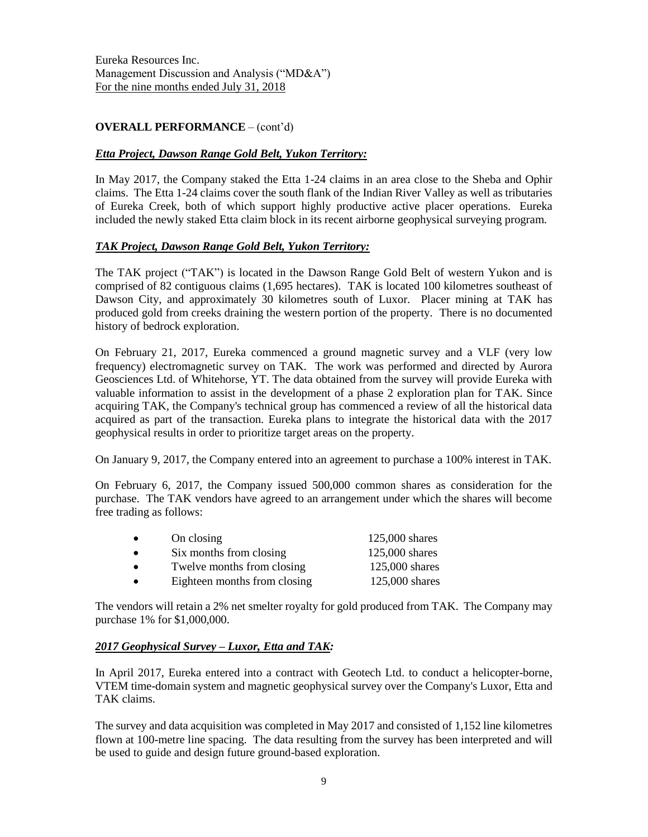# **OVERALL PERFORMANCE** – (cont'd)

## *Etta Project, Dawson Range Gold Belt, Yukon Territory:*

In May 2017, the Company staked the Etta 1-24 claims in an area close to the Sheba and Ophir claims. The Etta 1-24 claims cover the south flank of the Indian River Valley as well as tributaries of Eureka Creek, both of which support highly productive active placer operations. Eureka included the newly staked Etta claim block in its recent airborne geophysical surveying program.

### *TAK Project, Dawson Range Gold Belt, Yukon Territory:*

The TAK project ("TAK") is located in the Dawson Range Gold Belt of western Yukon and is comprised of 82 contiguous claims (1,695 hectares). TAK is located 100 kilometres southeast of Dawson City, and approximately 30 kilometres south of Luxor. Placer mining at TAK has produced gold from creeks draining the western portion of the property. There is no documented history of bedrock exploration.

On February 21, 2017, Eureka commenced a ground magnetic survey and a VLF (very low frequency) electromagnetic survey on TAK. The work was performed and directed by Aurora Geosciences Ltd. of Whitehorse, YT. The data obtained from the survey will provide Eureka with valuable information to assist in the development of a phase 2 exploration plan for TAK. Since acquiring TAK, the Company's technical group has commenced a review of all the historical data acquired as part of the transaction. Eureka plans to integrate the historical data with the 2017 geophysical results in order to prioritize target areas on the property.

On January 9, 2017, the Company entered into an agreement to purchase a 100% interest in TAK.

On February 6, 2017, the Company issued 500,000 common shares as consideration for the purchase. The TAK vendors have agreed to an arrangement under which the shares will become free trading as follows:

| $\bullet$ | On closing                   | $125,000$ shares |
|-----------|------------------------------|------------------|
| $\bullet$ | Six months from closing      | 125,000 shares   |
| $\bullet$ | Twelve months from closing   | 125,000 shares   |
| $\bullet$ | Eighteen months from closing | 125,000 shares   |

The vendors will retain a 2% net smelter royalty for gold produced from TAK. The Company may purchase 1% for \$1,000,000.

### *2017 Geophysical Survey – Luxor, Etta and TAK:*

In April 2017, Eureka entered into a contract with Geotech Ltd. to conduct a helicopter-borne, VTEM time-domain system and magnetic geophysical survey over the Company's Luxor, Etta and TAK claims.

The survey and data acquisition was completed in May 2017 and consisted of 1,152 line kilometres flown at 100-metre line spacing. The data resulting from the survey has been interpreted and will be used to guide and design future ground-based exploration.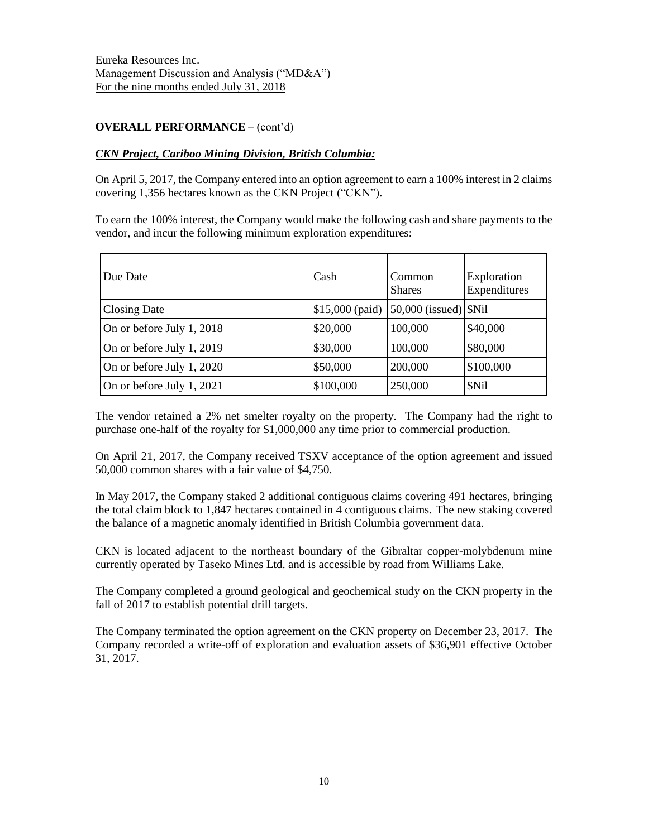# **OVERALL PERFORMANCE** – (cont'd)

## *CKN Project, Cariboo Mining Division, British Columbia:*

On April 5, 2017, the Company entered into an option agreement to earn a 100% interest in 2 claims covering 1,356 hectares known as the CKN Project ("CKN").

To earn the 100% interest, the Company would make the following cash and share payments to the vendor, and incur the following minimum exploration expenditures:

| Due Date                  | Cash             | Common<br><b>Shares</b>         | Exploration<br>Expenditures |
|---------------------------|------------------|---------------------------------|-----------------------------|
| <b>Closing Date</b>       | $$15,000$ (paid) | $50,000$ (issued) $\vert$ \$Nil |                             |
| On or before July 1, 2018 | \$20,000         | 100,000                         | \$40,000                    |
| On or before July 1, 2019 | \$30,000         | 100,000                         | \$80,000                    |
| On or before July 1, 2020 | \$50,000         | 200,000                         | \$100,000                   |
| On or before July 1, 2021 | \$100,000        | 250,000                         | \$Nil                       |

The vendor retained a 2% net smelter royalty on the property. The Company had the right to purchase one-half of the royalty for \$1,000,000 any time prior to commercial production.

On April 21, 2017, the Company received TSXV acceptance of the option agreement and issued 50,000 common shares with a fair value of \$4,750.

In May 2017, the Company staked 2 additional contiguous claims covering 491 hectares, bringing the total claim block to 1,847 hectares contained in 4 contiguous claims. The new staking covered the balance of a magnetic anomaly identified in British Columbia government data.

CKN is located adjacent to the northeast boundary of the Gibraltar copper-molybdenum mine currently operated by Taseko Mines Ltd. and is accessible by road from Williams Lake.

The Company completed a ground geological and geochemical study on the CKN property in the fall of 2017 to establish potential drill targets.

The Company terminated the option agreement on the CKN property on December 23, 2017. The Company recorded a write-off of exploration and evaluation assets of \$36,901 effective October 31, 2017.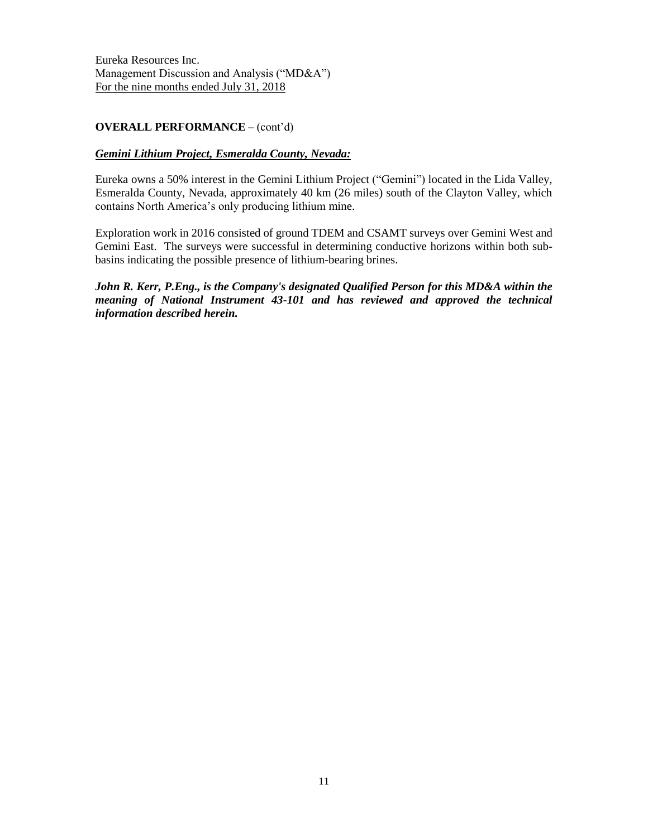## **OVERALL PERFORMANCE** – (cont'd)

### *Gemini Lithium Project, Esmeralda County, Nevada:*

Eureka owns a 50% interest in the Gemini Lithium Project ("Gemini") located in the Lida Valley, Esmeralda County, Nevada, approximately 40 km (26 miles) south of the Clayton Valley, which contains North America's only producing lithium mine.

Exploration work in 2016 consisted of ground TDEM and CSAMT surveys over Gemini West and Gemini East. The surveys were successful in determining conductive horizons within both subbasins indicating the possible presence of lithium-bearing brines.

*John R. Kerr, P.Eng., is the Company's designated Qualified Person for this MD&A within the meaning of National Instrument 43-101 and has reviewed and approved the technical information described herein.*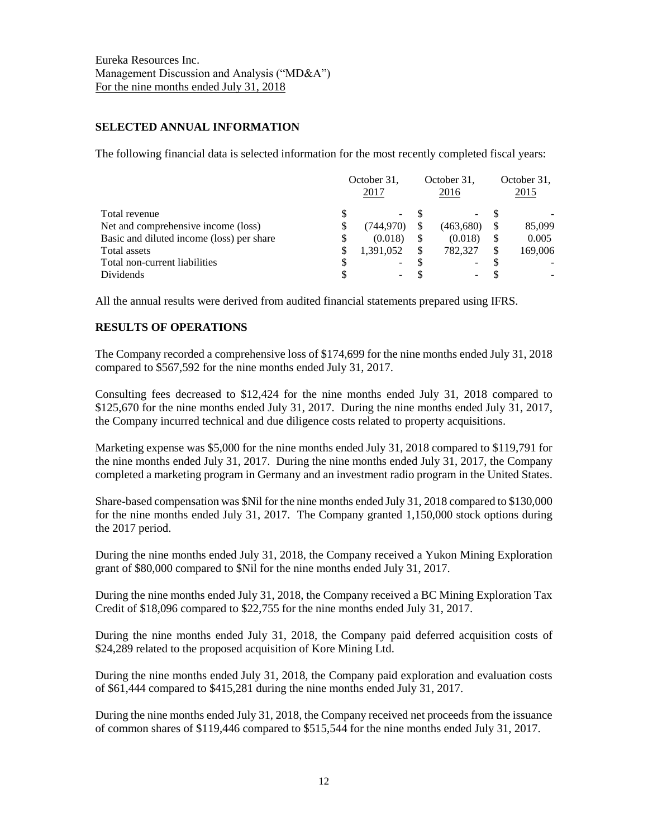### **SELECTED ANNUAL INFORMATION**

The following financial data is selected information for the most recently completed fiscal years:

|                                           |    | October 31.<br>2017      |    | October 31,<br>2016 | October 31,<br>2015 |
|-------------------------------------------|----|--------------------------|----|---------------------|---------------------|
| Total revenue                             |    | $\overline{\phantom{0}}$ |    | -                   |                     |
| Net and comprehensive income (loss)       | S  | (744,970)                |    | (463,680)           | 85,099              |
| Basic and diluted income (loss) per share | S  | (0.018)                  | \$ | (0.018)             | 0.005               |
| Total assets                              | \$ | 1,391,052                | S  | 782.327             | 169,006             |
| Total non-current liabilities             |    | $\overline{\phantom{0}}$ |    | -                   |                     |
| Dividends                                 |    | -                        |    | -                   |                     |

All the annual results were derived from audited financial statements prepared using IFRS.

# **RESULTS OF OPERATIONS**

The Company recorded a comprehensive loss of \$174,699 for the nine months ended July 31, 2018 compared to \$567,592 for the nine months ended July 31, 2017.

Consulting fees decreased to \$12,424 for the nine months ended July 31, 2018 compared to \$125,670 for the nine months ended July 31, 2017. During the nine months ended July 31, 2017, the Company incurred technical and due diligence costs related to property acquisitions.

Marketing expense was \$5,000 for the nine months ended July 31, 2018 compared to \$119,791 for the nine months ended July 31, 2017. During the nine months ended July 31, 2017, the Company completed a marketing program in Germany and an investment radio program in the United States.

Share-based compensation was \$Nil for the nine months ended July 31, 2018 compared to \$130,000 for the nine months ended July 31, 2017. The Company granted 1,150,000 stock options during the 2017 period.

During the nine months ended July 31, 2018, the Company received a Yukon Mining Exploration grant of \$80,000 compared to \$Nil for the nine months ended July 31, 2017.

During the nine months ended July 31, 2018, the Company received a BC Mining Exploration Tax Credit of \$18,096 compared to \$22,755 for the nine months ended July 31, 2017.

During the nine months ended July 31, 2018, the Company paid deferred acquisition costs of \$24,289 related to the proposed acquisition of Kore Mining Ltd.

During the nine months ended July 31, 2018, the Company paid exploration and evaluation costs of \$61,444 compared to \$415,281 during the nine months ended July 31, 2017.

During the nine months ended July 31, 2018, the Company received net proceeds from the issuance of common shares of \$119,446 compared to \$515,544 for the nine months ended July 31, 2017.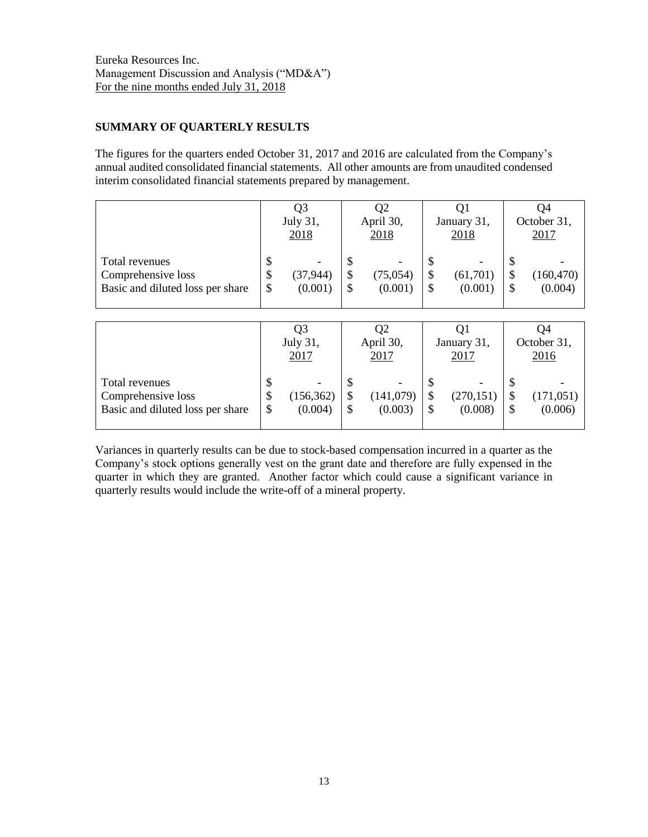# **SUMMARY OF QUARTERLY RESULTS**

The figures for the quarters ended October 31, 2017 and 2016 are calculated from the Company's annual audited consolidated financial statements. All other amounts are from unaudited condensed interim consolidated financial statements prepared by management.

|                                                                          | Q3<br>July 31,<br>2018 |                      | Q2<br>April 30,<br>2018 |                      | Q1<br>January 31,<br>2018 |                     | Q4<br>October 31,<br>2017 |                       |
|--------------------------------------------------------------------------|------------------------|----------------------|-------------------------|----------------------|---------------------------|---------------------|---------------------------|-----------------------|
| Total revenues<br>Comprehensive loss<br>Basic and diluted loss per share | \$<br>\$<br>\$         | (37, 944)<br>(0.001) | \$<br>\$<br>\$          | (75, 054)<br>(0.001) | S<br>S                    | (61,701)<br>(0.001) | S                         | (160, 470)<br>(0.004) |
|                                                                          |                        |                      |                         |                      |                           |                     |                           |                       |
|                                                                          |                        | Q3<br>July 31.       |                         | Q2<br>April 30,      |                           | Q1<br>January 31,   |                           | Q4<br>October 31,     |

|                                                                          | July 31, |                       | April 30, |                       | January 31,  |                       | October 31, |                       |
|--------------------------------------------------------------------------|----------|-----------------------|-----------|-----------------------|--------------|-----------------------|-------------|-----------------------|
|                                                                          | 2017     |                       | 2017      |                       | <u> 2017</u> |                       | 2016        |                       |
| Total revenues<br>Comprehensive loss<br>Basic and diluted loss per share | S<br>\$  | (156, 362)<br>(0.004) |           | (141, 079)<br>(0.003) |              | (270, 151)<br>(0.008) |             | (171, 051)<br>(0.006) |

Variances in quarterly results can be due to stock-based compensation incurred in a quarter as the Company's stock options generally vest on the grant date and therefore are fully expensed in the quarter in which they are granted. Another factor which could cause a significant variance in quarterly results would include the write-off of a mineral property.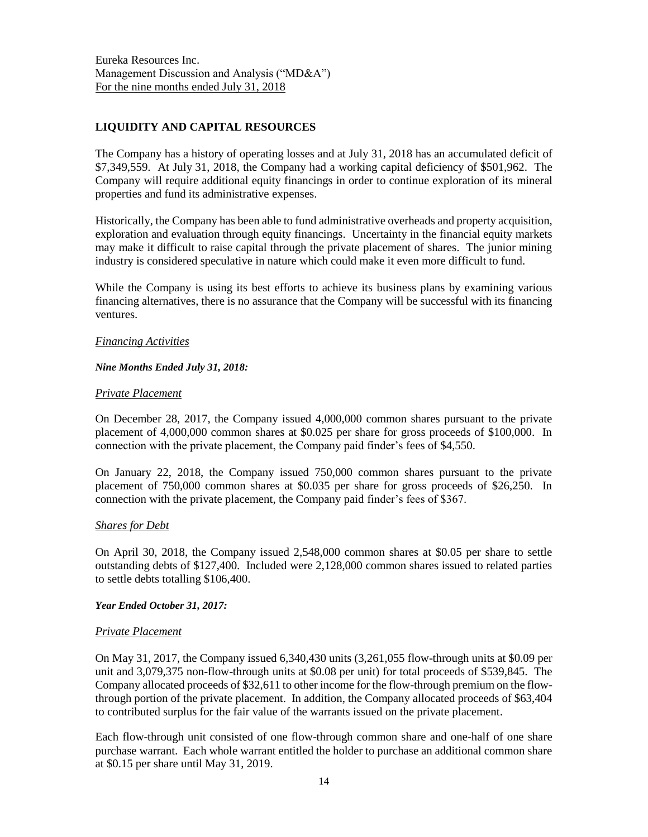# **LIQUIDITY AND CAPITAL RESOURCES**

The Company has a history of operating losses and at July 31, 2018 has an accumulated deficit of \$7,349,559. At July 31, 2018, the Company had a working capital deficiency of \$501,962. The Company will require additional equity financings in order to continue exploration of its mineral properties and fund its administrative expenses.

Historically, the Company has been able to fund administrative overheads and property acquisition, exploration and evaluation through equity financings. Uncertainty in the financial equity markets may make it difficult to raise capital through the private placement of shares. The junior mining industry is considered speculative in nature which could make it even more difficult to fund.

While the Company is using its best efforts to achieve its business plans by examining various financing alternatives, there is no assurance that the Company will be successful with its financing ventures.

### *Financing Activities*

### *Nine Months Ended July 31, 2018:*

### *Private Placement*

On December 28, 2017, the Company issued 4,000,000 common shares pursuant to the private placement of 4,000,000 common shares at \$0.025 per share for gross proceeds of \$100,000. In connection with the private placement, the Company paid finder's fees of \$4,550.

On January 22, 2018, the Company issued 750,000 common shares pursuant to the private placement of 750,000 common shares at \$0.035 per share for gross proceeds of \$26,250. In connection with the private placement, the Company paid finder's fees of \$367.

### *Shares for Debt*

On April 30, 2018, the Company issued 2,548,000 common shares at \$0.05 per share to settle outstanding debts of \$127,400. Included were 2,128,000 common shares issued to related parties to settle debts totalling \$106,400.

### *Year Ended October 31, 2017:*

### *Private Placement*

On May 31, 2017, the Company issued 6,340,430 units (3,261,055 flow-through units at \$0.09 per unit and 3,079,375 non-flow-through units at \$0.08 per unit) for total proceeds of \$539,845. The Company allocated proceeds of \$32,611 to other income for the flow-through premium on the flowthrough portion of the private placement. In addition, the Company allocated proceeds of \$63,404 to contributed surplus for the fair value of the warrants issued on the private placement.

Each flow-through unit consisted of one flow-through common share and one-half of one share purchase warrant. Each whole warrant entitled the holder to purchase an additional common share at \$0.15 per share until May 31, 2019.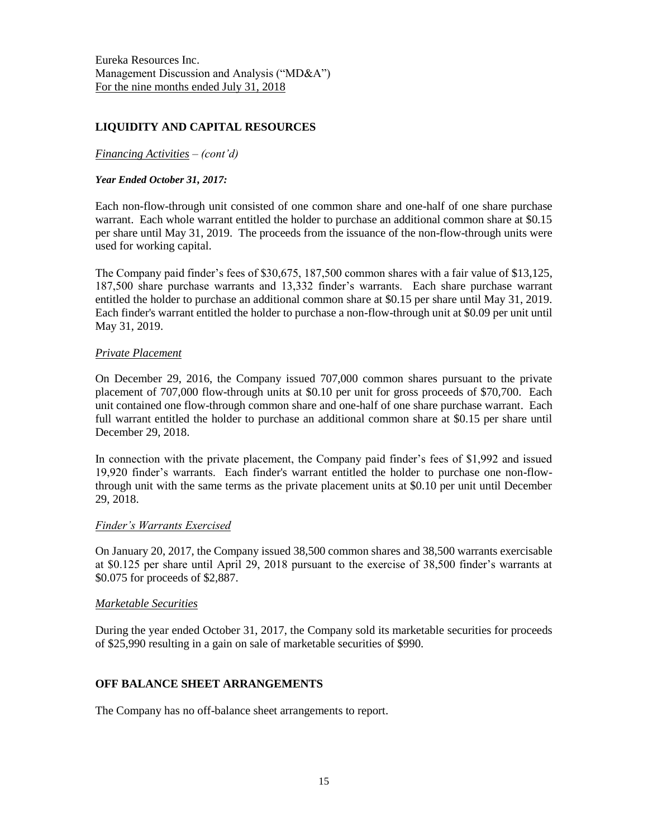# **LIQUIDITY AND CAPITAL RESOURCES**

#### *Financing Activities – (cont'd)*

#### *Year Ended October 31, 2017:*

Each non-flow-through unit consisted of one common share and one-half of one share purchase warrant. Each whole warrant entitled the holder to purchase an additional common share at \$0.15 per share until May 31, 2019. The proceeds from the issuance of the non-flow-through units were used for working capital.

The Company paid finder's fees of \$30,675, 187,500 common shares with a fair value of \$13,125, 187,500 share purchase warrants and 13,332 finder's warrants. Each share purchase warrant entitled the holder to purchase an additional common share at \$0.15 per share until May 31, 2019. Each finder's warrant entitled the holder to purchase a non-flow-through unit at \$0.09 per unit until May 31, 2019.

#### *Private Placement*

On December 29, 2016, the Company issued 707,000 common shares pursuant to the private placement of 707,000 flow-through units at \$0.10 per unit for gross proceeds of \$70,700. Each unit contained one flow-through common share and one-half of one share purchase warrant. Each full warrant entitled the holder to purchase an additional common share at \$0.15 per share until December 29, 2018.

In connection with the private placement, the Company paid finder's fees of \$1,992 and issued 19,920 finder's warrants. Each finder's warrant entitled the holder to purchase one non-flowthrough unit with the same terms as the private placement units at \$0.10 per unit until December 29, 2018.

#### *Finder's Warrants Exercised*

On January 20, 2017, the Company issued 38,500 common shares and 38,500 warrants exercisable at \$0.125 per share until April 29, 2018 pursuant to the exercise of 38,500 finder's warrants at \$0.075 for proceeds of \$2,887.

#### *Marketable Securities*

During the year ended October 31, 2017, the Company sold its marketable securities for proceeds of \$25,990 resulting in a gain on sale of marketable securities of \$990.

### **OFF BALANCE SHEET ARRANGEMENTS**

The Company has no off-balance sheet arrangements to report.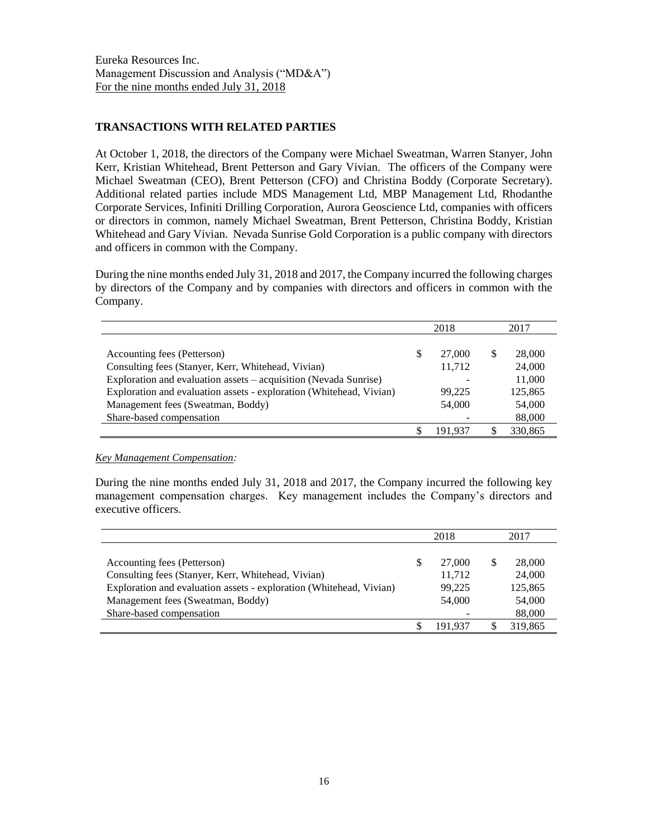# **TRANSACTIONS WITH RELATED PARTIES**

At October 1, 2018, the directors of the Company were Michael Sweatman, Warren Stanyer, John Kerr, Kristian Whitehead, Brent Petterson and Gary Vivian. The officers of the Company were Michael Sweatman (CEO), Brent Petterson (CFO) and Christina Boddy (Corporate Secretary). Additional related parties include MDS Management Ltd, MBP Management Ltd, Rhodanthe Corporate Services, Infiniti Drilling Corporation, Aurora Geoscience Ltd, companies with officers or directors in common, namely Michael Sweatman, Brent Petterson, Christina Boddy, Kristian Whitehead and Gary Vivian. Nevada Sunrise Gold Corporation is a public company with directors and officers in common with the Company.

During the nine months ended July 31, 2018 and 2017, the Company incurred the following charges by directors of the Company and by companies with directors and officers in common with the Company.

|                                                                     | 2018         |   | 2017    |
|---------------------------------------------------------------------|--------------|---|---------|
|                                                                     |              |   |         |
| Accounting fees (Petterson)                                         | \$<br>27,000 | S | 28,000  |
| Consulting fees (Stanyer, Kerr, Whitehead, Vivian)                  | 11,712       |   | 24,000  |
| Exploration and evaluation assets - acquisition (Nevada Sunrise)    |              |   | 11,000  |
| Exploration and evaluation assets - exploration (Whitehead, Vivian) | 99,225       |   | 125,865 |
| Management fees (Sweatman, Boddy)                                   | 54,000       |   | 54,000  |
| Share-based compensation                                            |              |   | 88,000  |
|                                                                     | 191.937      |   | 330,865 |

*Key Management Compensation:*

During the nine months ended July 31, 2018 and 2017, the Company incurred the following key management compensation charges. Key management includes the Company's directors and executive officers.

|                                                                     |   | 2018    |   | 2017    |
|---------------------------------------------------------------------|---|---------|---|---------|
|                                                                     |   |         |   |         |
| Accounting fees (Petterson)                                         | S | 27,000  | S | 28,000  |
| Consulting fees (Stanyer, Kerr, Whitehead, Vivian)                  |   | 11,712  |   | 24,000  |
| Exploration and evaluation assets - exploration (Whitehead, Vivian) |   | 99,225  |   | 125,865 |
| Management fees (Sweatman, Boddy)                                   |   | 54,000  |   | 54,000  |
| Share-based compensation                                            |   |         |   | 88,000  |
|                                                                     |   | 191.937 |   | 319,865 |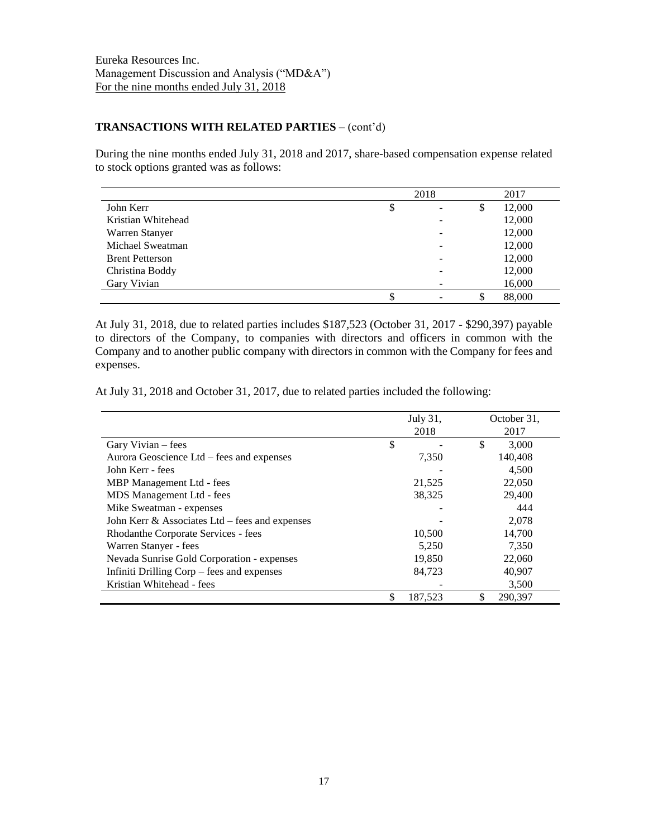## **TRANSACTIONS WITH RELATED PARTIES** – (cont'd)

During the nine months ended July 31, 2018 and 2017, share-based compensation expense related to stock options granted was as follows:

|                        | 2018 |    | 2017   |
|------------------------|------|----|--------|
| John Kerr              | \$   | S  | 12,000 |
| Kristian Whitehead     |      |    | 12,000 |
| Warren Stanyer         |      |    | 12,000 |
| Michael Sweatman       |      |    | 12,000 |
| <b>Brent Petterson</b> |      |    | 12,000 |
| Christina Boddy        |      |    | 12,000 |
| Gary Vivian            |      |    | 16,000 |
|                        | \$   | \$ | 88,000 |

At July 31, 2018, due to related parties includes \$187,523 (October 31, 2017 - \$290,397) payable to directors of the Company, to companies with directors and officers in common with the Company and to another public company with directors in common with the Company for fees and expenses.

At July 31, 2018 and October 31, 2017, due to related parties included the following:

|                                                   | July 31, |         | October 31,   |
|---------------------------------------------------|----------|---------|---------------|
|                                                   |          | 2018    | 2017          |
| Gary Vivian – fees                                | \$       |         | \$<br>3.000   |
| Aurora Geoscience Ltd – fees and expenses         |          | 7,350   | 140,408       |
| John Kerr - fees                                  |          |         | 4,500         |
| MBP Management Ltd - fees                         |          | 21,525  | 22,050        |
| MDS Management Ltd - fees                         |          | 38,325  | 29,400        |
| Mike Sweatman - expenses                          |          |         | 444           |
| John Kerr $\&$ Associates Ltd – fees and expenses |          |         | 2,078         |
| Rhodanthe Corporate Services - fees               |          | 10,500  | 14,700        |
| Warren Stanyer - fees                             |          | 5,250   | 7,350         |
| Nevada Sunrise Gold Corporation - expenses        |          | 19,850  | 22,060        |
| Infiniti Drilling Corp – fees and expenses        |          | 84,723  | 40,907        |
| Kristian Whitehead - fees                         |          |         | 3,500         |
|                                                   |          | 187,523 | \$<br>290,397 |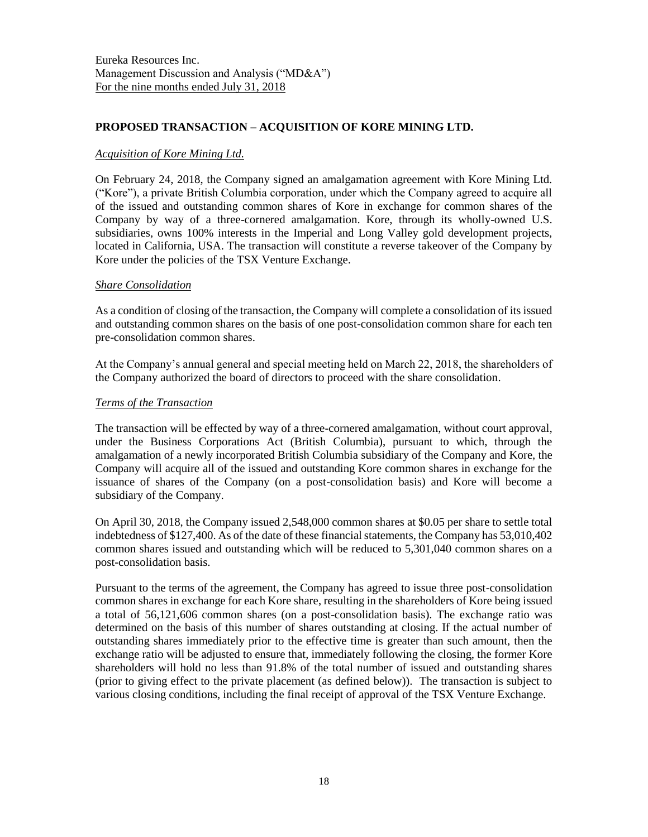# **PROPOSED TRANSACTION – ACQUISITION OF KORE MINING LTD.**

## *Acquisition of Kore Mining Ltd.*

On February 24, 2018, the Company signed an amalgamation agreement with Kore Mining Ltd. ("Kore"), a private British Columbia corporation, under which the Company agreed to acquire all of the issued and outstanding common shares of Kore in exchange for common shares of the Company by way of a three-cornered amalgamation. Kore, through its wholly-owned U.S. subsidiaries, owns 100% interests in the Imperial and Long Valley gold development projects, located in California, USA. The transaction will constitute a reverse takeover of the Company by Kore under the policies of the TSX Venture Exchange.

### *Share Consolidation*

As a condition of closing of the transaction, the Company will complete a consolidation of its issued and outstanding common shares on the basis of one post-consolidation common share for each ten pre-consolidation common shares.

At the Company's annual general and special meeting held on March 22, 2018, the shareholders of the Company authorized the board of directors to proceed with the share consolidation.

### *Terms of the Transaction*

The transaction will be effected by way of a three-cornered amalgamation, without court approval, under the Business Corporations Act (British Columbia), pursuant to which, through the amalgamation of a newly incorporated British Columbia subsidiary of the Company and Kore, the Company will acquire all of the issued and outstanding Kore common shares in exchange for the issuance of shares of the Company (on a post-consolidation basis) and Kore will become a subsidiary of the Company.

On April 30, 2018, the Company issued 2,548,000 common shares at \$0.05 per share to settle total indebtedness of \$127,400. As of the date of these financial statements, the Company has 53,010,402 common shares issued and outstanding which will be reduced to 5,301,040 common shares on a post-consolidation basis.

Pursuant to the terms of the agreement, the Company has agreed to issue three post-consolidation common shares in exchange for each Kore share, resulting in the shareholders of Kore being issued a total of 56,121,606 common shares (on a post-consolidation basis). The exchange ratio was determined on the basis of this number of shares outstanding at closing. If the actual number of outstanding shares immediately prior to the effective time is greater than such amount, then the exchange ratio will be adjusted to ensure that, immediately following the closing, the former Kore shareholders will hold no less than 91.8% of the total number of issued and outstanding shares (prior to giving effect to the private placement (as defined below)). The transaction is subject to various closing conditions, including the final receipt of approval of the TSX Venture Exchange.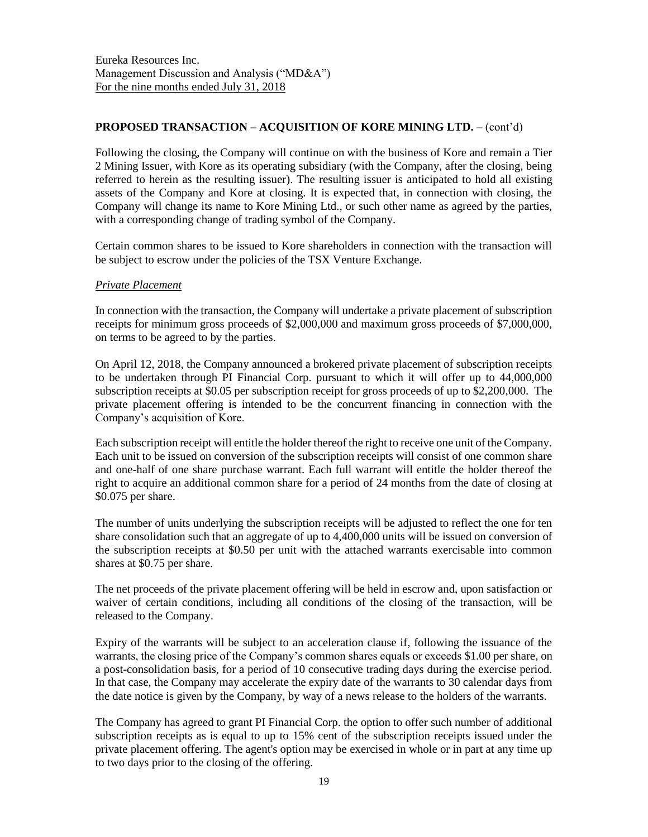# **PROPOSED TRANSACTION – ACQUISITION OF KORE MINING LTD.** – (cont'd)

Following the closing, the Company will continue on with the business of Kore and remain a Tier 2 Mining Issuer, with Kore as its operating subsidiary (with the Company, after the closing, being referred to herein as the resulting issuer). The resulting issuer is anticipated to hold all existing assets of the Company and Kore at closing. It is expected that, in connection with closing, the Company will change its name to Kore Mining Ltd., or such other name as agreed by the parties, with a corresponding change of trading symbol of the Company.

Certain common shares to be issued to Kore shareholders in connection with the transaction will be subject to escrow under the policies of the TSX Venture Exchange.

#### *Private Placement*

In connection with the transaction, the Company will undertake a private placement of subscription receipts for minimum gross proceeds of \$2,000,000 and maximum gross proceeds of \$7,000,000, on terms to be agreed to by the parties.

On April 12, 2018, the Company announced a brokered private placement of subscription receipts to be undertaken through PI Financial Corp. pursuant to which it will offer up to 44,000,000 subscription receipts at \$0.05 per subscription receipt for gross proceeds of up to \$2,200,000. The private placement offering is intended to be the concurrent financing in connection with the Company's acquisition of Kore.

Each subscription receipt will entitle the holder thereof the right to receive one unit of the Company. Each unit to be issued on conversion of the subscription receipts will consist of one common share and one-half of one share purchase warrant. Each full warrant will entitle the holder thereof the right to acquire an additional common share for a period of 24 months from the date of closing at \$0.075 per share.

The number of units underlying the subscription receipts will be adjusted to reflect the one for ten share consolidation such that an aggregate of up to 4,400,000 units will be issued on conversion of the subscription receipts at \$0.50 per unit with the attached warrants exercisable into common shares at \$0.75 per share.

The net proceeds of the private placement offering will be held in escrow and, upon satisfaction or waiver of certain conditions, including all conditions of the closing of the transaction, will be released to the Company.

Expiry of the warrants will be subject to an acceleration clause if, following the issuance of the warrants, the closing price of the Company's common shares equals or exceeds \$1.00 per share, on a post-consolidation basis, for a period of 10 consecutive trading days during the exercise period. In that case, the Company may accelerate the expiry date of the warrants to 30 calendar days from the date notice is given by the Company, by way of a news release to the holders of the warrants.

The Company has agreed to grant PI Financial Corp. the option to offer such number of additional subscription receipts as is equal to up to 15% cent of the subscription receipts issued under the private placement offering. The agent's option may be exercised in whole or in part at any time up to two days prior to the closing of the offering.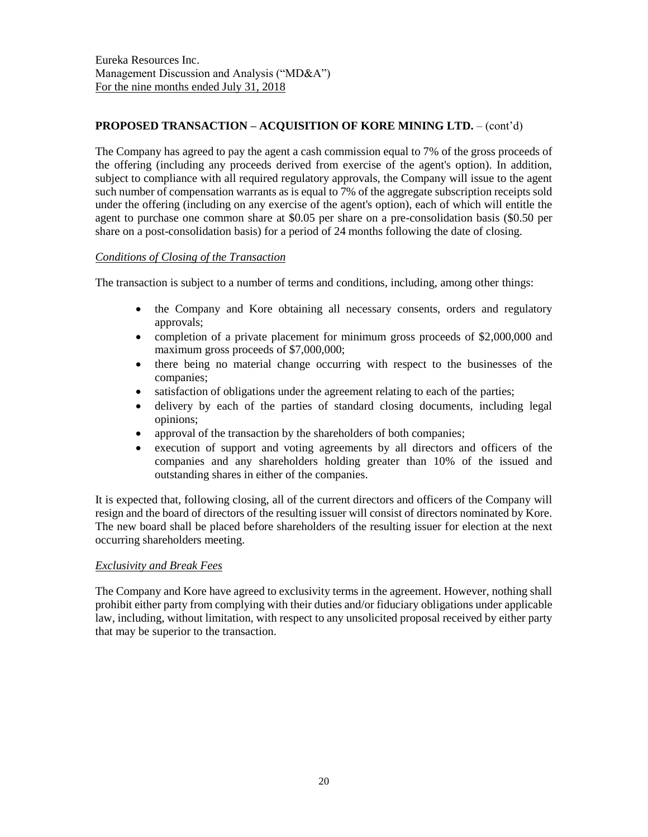# **PROPOSED TRANSACTION – ACQUISITION OF KORE MINING LTD.** – (cont'd)

The Company has agreed to pay the agent a cash commission equal to 7% of the gross proceeds of the offering (including any proceeds derived from exercise of the agent's option). In addition, subject to compliance with all required regulatory approvals, the Company will issue to the agent such number of compensation warrants as is equal to 7% of the aggregate subscription receipts sold under the offering (including on any exercise of the agent's option), each of which will entitle the agent to purchase one common share at \$0.05 per share on a pre-consolidation basis (\$0.50 per share on a post-consolidation basis) for a period of 24 months following the date of closing.

# *Conditions of Closing of the Transaction*

The transaction is subject to a number of terms and conditions, including, among other things:

- the Company and Kore obtaining all necessary consents, orders and regulatory approvals;
- completion of a private placement for minimum gross proceeds of \$2,000,000 and maximum gross proceeds of \$7,000,000;
- there being no material change occurring with respect to the businesses of the companies;
- satisfaction of obligations under the agreement relating to each of the parties;
- delivery by each of the parties of standard closing documents, including legal opinions;
- approval of the transaction by the shareholders of both companies;
- execution of support and voting agreements by all directors and officers of the companies and any shareholders holding greater than 10% of the issued and outstanding shares in either of the companies.

It is expected that, following closing, all of the current directors and officers of the Company will resign and the board of directors of the resulting issuer will consist of directors nominated by Kore. The new board shall be placed before shareholders of the resulting issuer for election at the next occurring shareholders meeting.

### *Exclusivity and Break Fees*

The Company and Kore have agreed to exclusivity terms in the agreement. However, nothing shall prohibit either party from complying with their duties and/or fiduciary obligations under applicable law, including, without limitation, with respect to any unsolicited proposal received by either party that may be superior to the transaction.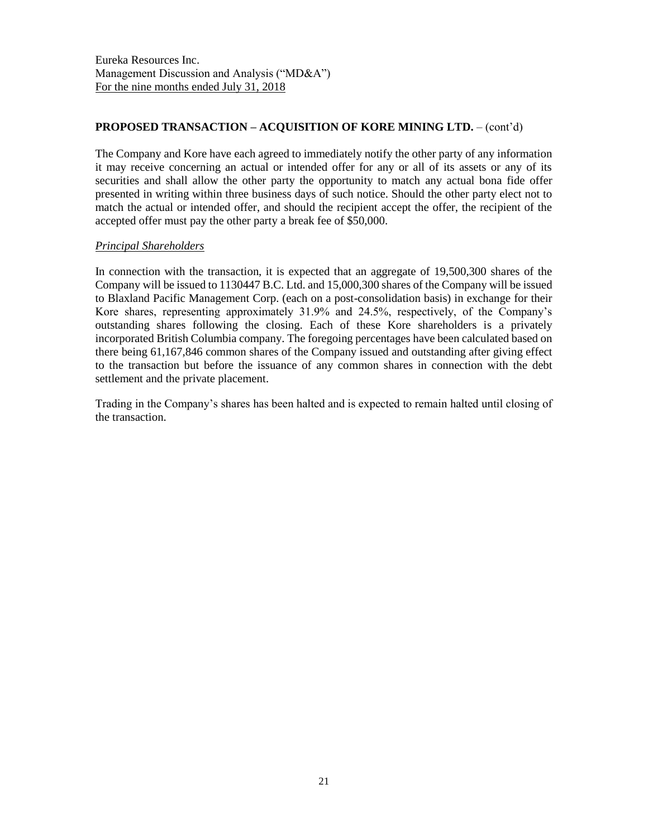# **PROPOSED TRANSACTION – ACQUISITION OF KORE MINING LTD.** – (cont'd)

The Company and Kore have each agreed to immediately notify the other party of any information it may receive concerning an actual or intended offer for any or all of its assets or any of its securities and shall allow the other party the opportunity to match any actual bona fide offer presented in writing within three business days of such notice. Should the other party elect not to match the actual or intended offer, and should the recipient accept the offer, the recipient of the accepted offer must pay the other party a break fee of \$50,000.

### *Principal Shareholders*

In connection with the transaction, it is expected that an aggregate of 19,500,300 shares of the Company will be issued to 1130447 B.C. Ltd. and 15,000,300 shares of the Company will be issued to Blaxland Pacific Management Corp. (each on a post-consolidation basis) in exchange for their Kore shares, representing approximately 31.9% and 24.5%, respectively, of the Company's outstanding shares following the closing. Each of these Kore shareholders is a privately incorporated British Columbia company. The foregoing percentages have been calculated based on there being 61,167,846 common shares of the Company issued and outstanding after giving effect to the transaction but before the issuance of any common shares in connection with the debt settlement and the private placement.

Trading in the Company's shares has been halted and is expected to remain halted until closing of the transaction.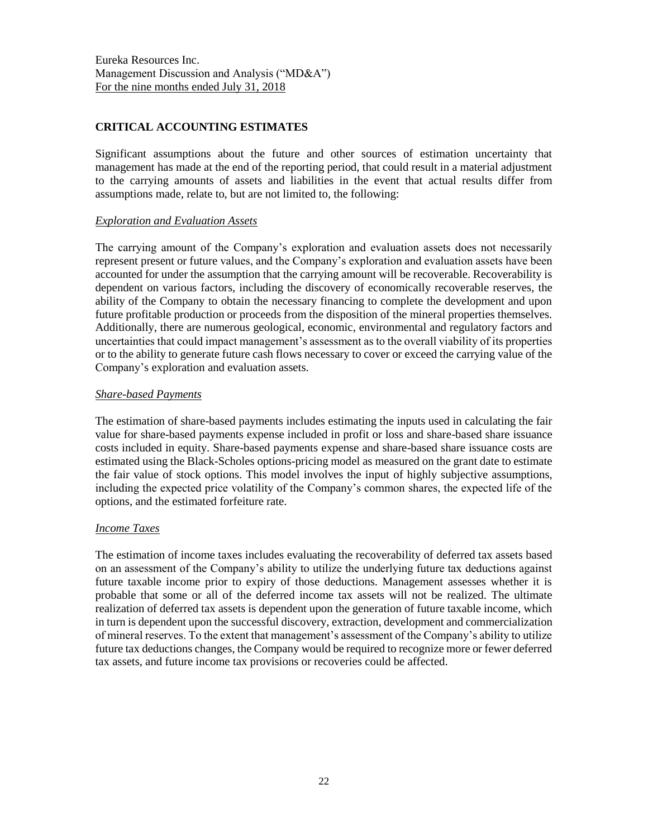# **CRITICAL ACCOUNTING ESTIMATES**

Significant assumptions about the future and other sources of estimation uncertainty that management has made at the end of the reporting period, that could result in a material adjustment to the carrying amounts of assets and liabilities in the event that actual results differ from assumptions made, relate to, but are not limited to, the following:

### *Exploration and Evaluation Assets*

The carrying amount of the Company's exploration and evaluation assets does not necessarily represent present or future values, and the Company's exploration and evaluation assets have been accounted for under the assumption that the carrying amount will be recoverable. Recoverability is dependent on various factors, including the discovery of economically recoverable reserves, the ability of the Company to obtain the necessary financing to complete the development and upon future profitable production or proceeds from the disposition of the mineral properties themselves. Additionally, there are numerous geological, economic, environmental and regulatory factors and uncertainties that could impact management's assessment as to the overall viability of its properties or to the ability to generate future cash flows necessary to cover or exceed the carrying value of the Company's exploration and evaluation assets.

# *Share-based Payments*

The estimation of share-based payments includes estimating the inputs used in calculating the fair value for share-based payments expense included in profit or loss and share-based share issuance costs included in equity. Share-based payments expense and share-based share issuance costs are estimated using the Black-Scholes options-pricing model as measured on the grant date to estimate the fair value of stock options. This model involves the input of highly subjective assumptions, including the expected price volatility of the Company's common shares, the expected life of the options, and the estimated forfeiture rate.

### *Income Taxes*

The estimation of income taxes includes evaluating the recoverability of deferred tax assets based on an assessment of the Company's ability to utilize the underlying future tax deductions against future taxable income prior to expiry of those deductions. Management assesses whether it is probable that some or all of the deferred income tax assets will not be realized. The ultimate realization of deferred tax assets is dependent upon the generation of future taxable income, which in turn is dependent upon the successful discovery, extraction, development and commercialization of mineral reserves. To the extent that management's assessment of the Company's ability to utilize future tax deductions changes, the Company would be required to recognize more or fewer deferred tax assets, and future income tax provisions or recoveries could be affected.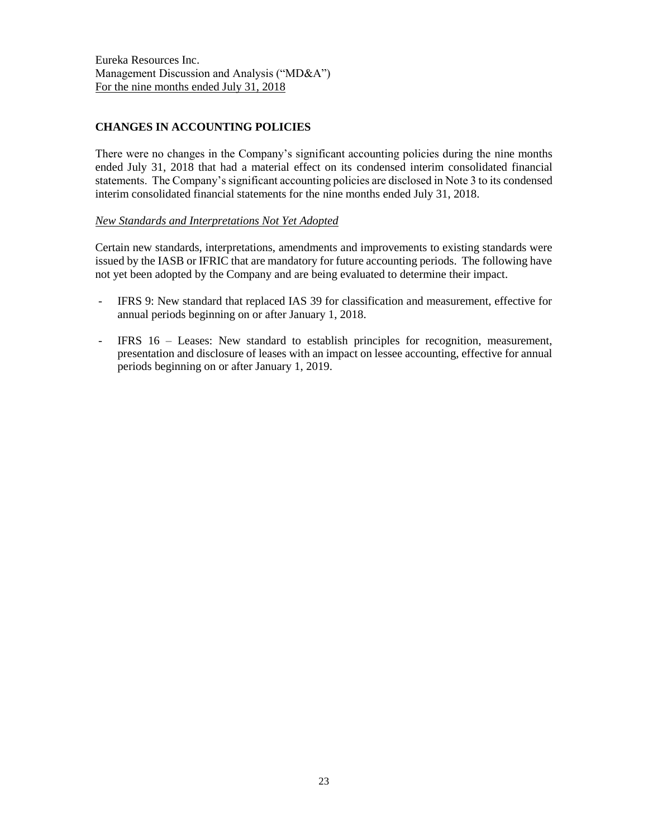# **CHANGES IN ACCOUNTING POLICIES**

There were no changes in the Company's significant accounting policies during the nine months ended July 31, 2018 that had a material effect on its condensed interim consolidated financial statements. The Company's significant accounting policies are disclosed in Note 3 to its condensed interim consolidated financial statements for the nine months ended July 31, 2018.

# *New Standards and Interpretations Not Yet Adopted*

Certain new standards, interpretations, amendments and improvements to existing standards were issued by the IASB or IFRIC that are mandatory for future accounting periods. The following have not yet been adopted by the Company and are being evaluated to determine their impact.

- IFRS 9: New standard that replaced IAS 39 for classification and measurement, effective for annual periods beginning on or after January 1, 2018.
- IFRS 16 Leases: New standard to establish principles for recognition, measurement, presentation and disclosure of leases with an impact on lessee accounting, effective for annual periods beginning on or after January 1, 2019.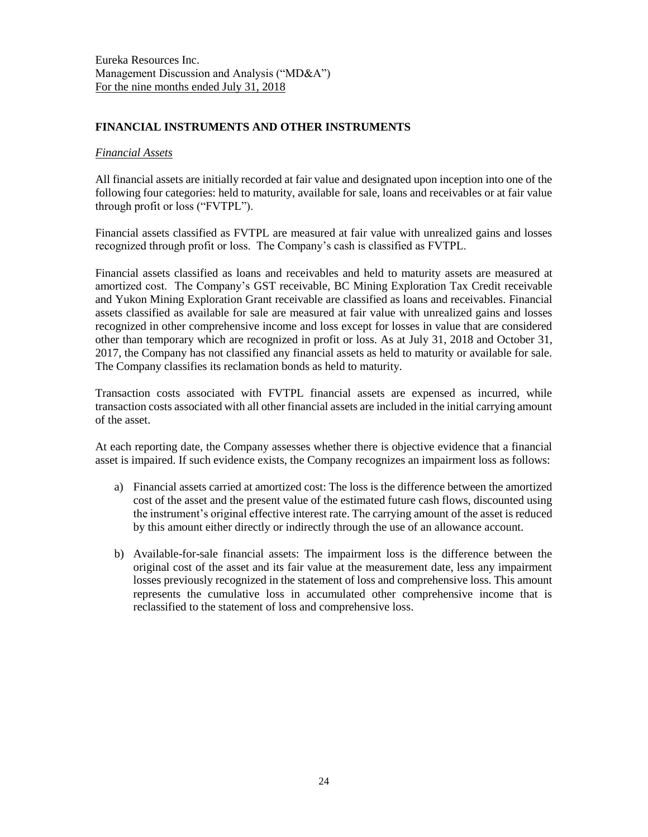## **FINANCIAL INSTRUMENTS AND OTHER INSTRUMENTS**

#### *Financial Assets*

All financial assets are initially recorded at fair value and designated upon inception into one of the following four categories: held to maturity, available for sale, loans and receivables or at fair value through profit or loss ("FVTPL").

Financial assets classified as FVTPL are measured at fair value with unrealized gains and losses recognized through profit or loss. The Company's cash is classified as FVTPL.

Financial assets classified as loans and receivables and held to maturity assets are measured at amortized cost. The Company's GST receivable, BC Mining Exploration Tax Credit receivable and Yukon Mining Exploration Grant receivable are classified as loans and receivables. Financial assets classified as available for sale are measured at fair value with unrealized gains and losses recognized in other comprehensive income and loss except for losses in value that are considered other than temporary which are recognized in profit or loss. As at July 31, 2018 and October 31, 2017, the Company has not classified any financial assets as held to maturity or available for sale. The Company classifies its reclamation bonds as held to maturity.

Transaction costs associated with FVTPL financial assets are expensed as incurred, while transaction costs associated with all other financial assets are included in the initial carrying amount of the asset.

At each reporting date, the Company assesses whether there is objective evidence that a financial asset is impaired. If such evidence exists, the Company recognizes an impairment loss as follows:

- a) Financial assets carried at amortized cost: The loss is the difference between the amortized cost of the asset and the present value of the estimated future cash flows, discounted using the instrument's original effective interest rate. The carrying amount of the asset is reduced by this amount either directly or indirectly through the use of an allowance account.
- b) Available-for-sale financial assets: The impairment loss is the difference between the original cost of the asset and its fair value at the measurement date, less any impairment losses previously recognized in the statement of loss and comprehensive loss. This amount represents the cumulative loss in accumulated other comprehensive income that is reclassified to the statement of loss and comprehensive loss.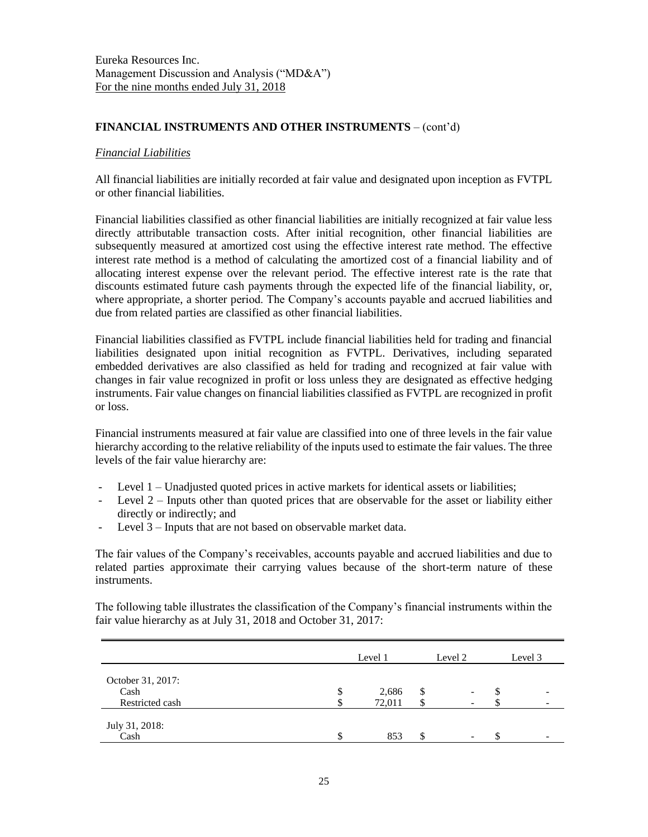## **FINANCIAL INSTRUMENTS AND OTHER INSTRUMENTS** – (cont'd)

#### *Financial Liabilities*

All financial liabilities are initially recorded at fair value and designated upon inception as FVTPL or other financial liabilities.

Financial liabilities classified as other financial liabilities are initially recognized at fair value less directly attributable transaction costs. After initial recognition, other financial liabilities are subsequently measured at amortized cost using the effective interest rate method. The effective interest rate method is a method of calculating the amortized cost of a financial liability and of allocating interest expense over the relevant period. The effective interest rate is the rate that discounts estimated future cash payments through the expected life of the financial liability, or, where appropriate, a shorter period. The Company's accounts payable and accrued liabilities and due from related parties are classified as other financial liabilities.

Financial liabilities classified as FVTPL include financial liabilities held for trading and financial liabilities designated upon initial recognition as FVTPL. Derivatives, including separated embedded derivatives are also classified as held for trading and recognized at fair value with changes in fair value recognized in profit or loss unless they are designated as effective hedging instruments. Fair value changes on financial liabilities classified as FVTPL are recognized in profit or loss.

Financial instruments measured at fair value are classified into one of three levels in the fair value hierarchy according to the relative reliability of the inputs used to estimate the fair values. The three levels of the fair value hierarchy are:

- Level 1 Unadjusted quoted prices in active markets for identical assets or liabilities;
- Level  $2$  Inputs other than quoted prices that are observable for the asset or liability either directly or indirectly; and
- Level 3 Inputs that are not based on observable market data.

The fair values of the Company's receivables, accounts payable and accrued liabilities and due to related parties approximate their carrying values because of the short-term nature of these instruments.

The following table illustrates the classification of the Company's financial instruments within the fair value hierarchy as at July 31, 2018 and October 31, 2017:

|                           | Level 1     | Level 2                        |    | Level 3 |
|---------------------------|-------------|--------------------------------|----|---------|
| October 31, 2017:<br>Cash | \$<br>2,686 | \$<br>$\overline{\phantom{0}}$ | ъ  |         |
| Restricted cash           | 72,011      |                                |    |         |
| July 31, 2018:<br>Cash    | 853         | \$                             | J. |         |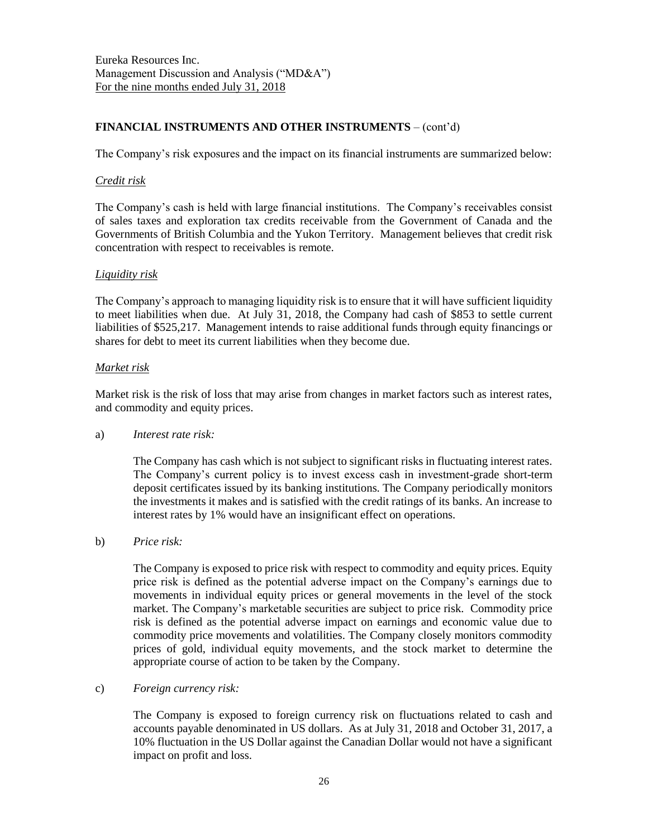# **FINANCIAL INSTRUMENTS AND OTHER INSTRUMENTS** – (cont'd)

The Company's risk exposures and the impact on its financial instruments are summarized below:

#### *Credit risk*

The Company's cash is held with large financial institutions. The Company's receivables consist of sales taxes and exploration tax credits receivable from the Government of Canada and the Governments of British Columbia and the Yukon Territory. Management believes that credit risk concentration with respect to receivables is remote.

### *Liquidity risk*

The Company's approach to managing liquidity risk is to ensure that it will have sufficient liquidity to meet liabilities when due. At July 31, 2018, the Company had cash of \$853 to settle current liabilities of \$525,217. Management intends to raise additional funds through equity financings or shares for debt to meet its current liabilities when they become due.

#### *Market risk*

Market risk is the risk of loss that may arise from changes in market factors such as interest rates, and commodity and equity prices.

### a) *Interest rate risk:*

The Company has cash which is not subject to significant risks in fluctuating interest rates. The Company's current policy is to invest excess cash in investment-grade short-term deposit certificates issued by its banking institutions. The Company periodically monitors the investments it makes and is satisfied with the credit ratings of its banks. An increase to interest rates by 1% would have an insignificant effect on operations.

b) *Price risk:*

The Company is exposed to price risk with respect to commodity and equity prices. Equity price risk is defined as the potential adverse impact on the Company's earnings due to movements in individual equity prices or general movements in the level of the stock market. The Company's marketable securities are subject to price risk. Commodity price risk is defined as the potential adverse impact on earnings and economic value due to commodity price movements and volatilities. The Company closely monitors commodity prices of gold, individual equity movements, and the stock market to determine the appropriate course of action to be taken by the Company.

### c) *Foreign currency risk:*

The Company is exposed to foreign currency risk on fluctuations related to cash and accounts payable denominated in US dollars. As at July 31, 2018 and October 31, 2017, a 10% fluctuation in the US Dollar against the Canadian Dollar would not have a significant impact on profit and loss.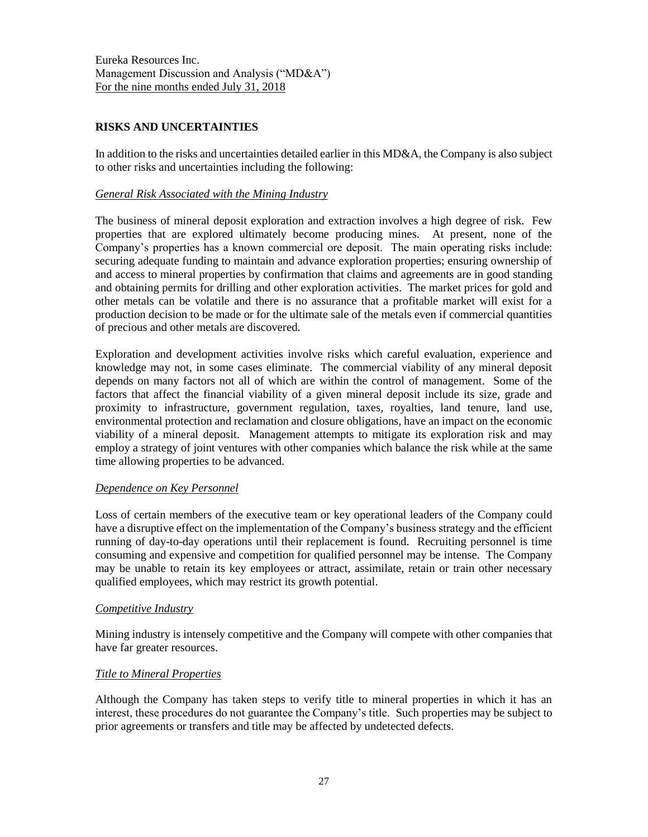# **RISKS AND UNCERTAINTIES**

In addition to the risks and uncertainties detailed earlier in this MD&A, the Company is also subject to other risks and uncertainties including the following:

### *General Risk Associated with the Mining Industry*

The business of mineral deposit exploration and extraction involves a high degree of risk. Few properties that are explored ultimately become producing mines. At present, none of the Company's properties has a known commercial ore deposit. The main operating risks include: securing adequate funding to maintain and advance exploration properties; ensuring ownership of and access to mineral properties by confirmation that claims and agreements are in good standing and obtaining permits for drilling and other exploration activities. The market prices for gold and other metals can be volatile and there is no assurance that a profitable market will exist for a production decision to be made or for the ultimate sale of the metals even if commercial quantities of precious and other metals are discovered.

Exploration and development activities involve risks which careful evaluation, experience and knowledge may not, in some cases eliminate. The commercial viability of any mineral deposit depends on many factors not all of which are within the control of management. Some of the factors that affect the financial viability of a given mineral deposit include its size, grade and proximity to infrastructure, government regulation, taxes, royalties, land tenure, land use, environmental protection and reclamation and closure obligations, have an impact on the economic viability of a mineral deposit. Management attempts to mitigate its exploration risk and may employ a strategy of joint ventures with other companies which balance the risk while at the same time allowing properties to be advanced.

### *Dependence on Key Personnel*

Loss of certain members of the executive team or key operational leaders of the Company could have a disruptive effect on the implementation of the Company's business strategy and the efficient running of day-to-day operations until their replacement is found. Recruiting personnel is time consuming and expensive and competition for qualified personnel may be intense. The Company may be unable to retain its key employees or attract, assimilate, retain or train other necessary qualified employees, which may restrict its growth potential.

#### *Competitive Industry*

Mining industry is intensely competitive and the Company will compete with other companies that have far greater resources.

### *Title to Mineral Properties*

Although the Company has taken steps to verify title to mineral properties in which it has an interest, these procedures do not guarantee the Company's title. Such properties may be subject to prior agreements or transfers and title may be affected by undetected defects.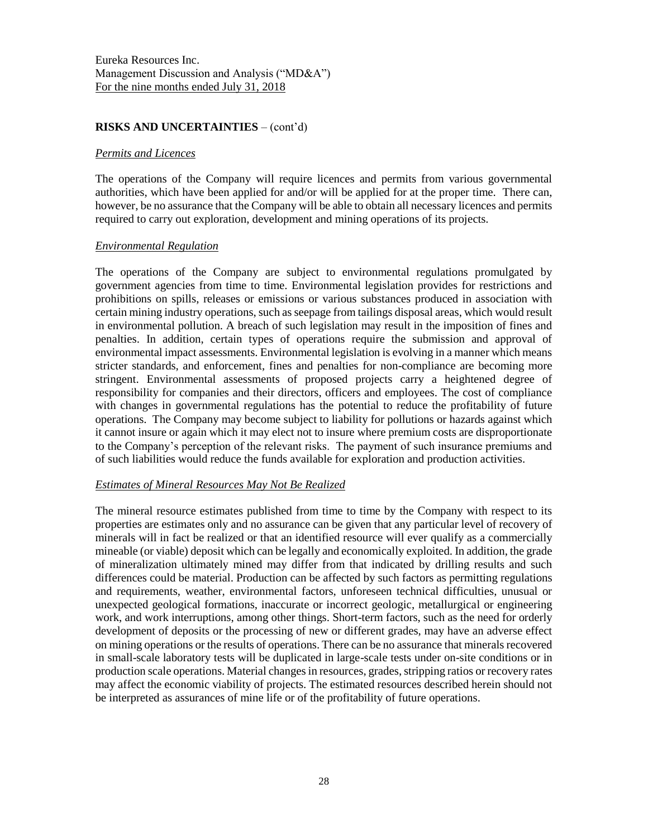### **RISKS AND UNCERTAINTIES** – (cont'd)

#### *Permits and Licences*

The operations of the Company will require licences and permits from various governmental authorities, which have been applied for and/or will be applied for at the proper time. There can, however, be no assurance that the Company will be able to obtain all necessary licences and permits required to carry out exploration, development and mining operations of its projects.

#### *Environmental Regulation*

The operations of the Company are subject to environmental regulations promulgated by government agencies from time to time. Environmental legislation provides for restrictions and prohibitions on spills, releases or emissions or various substances produced in association with certain mining industry operations, such as seepage from tailings disposal areas, which would result in environmental pollution. A breach of such legislation may result in the imposition of fines and penalties. In addition, certain types of operations require the submission and approval of environmental impact assessments. Environmental legislation is evolving in a manner which means stricter standards, and enforcement, fines and penalties for non-compliance are becoming more stringent. Environmental assessments of proposed projects carry a heightened degree of responsibility for companies and their directors, officers and employees. The cost of compliance with changes in governmental regulations has the potential to reduce the profitability of future operations. The Company may become subject to liability for pollutions or hazards against which it cannot insure or again which it may elect not to insure where premium costs are disproportionate to the Company's perception of the relevant risks. The payment of such insurance premiums and of such liabilities would reduce the funds available for exploration and production activities.

### *Estimates of Mineral Resources May Not Be Realized*

The mineral resource estimates published from time to time by the Company with respect to its properties are estimates only and no assurance can be given that any particular level of recovery of minerals will in fact be realized or that an identified resource will ever qualify as a commercially mineable (or viable) deposit which can be legally and economically exploited. In addition, the grade of mineralization ultimately mined may differ from that indicated by drilling results and such differences could be material. Production can be affected by such factors as permitting regulations and requirements, weather, environmental factors, unforeseen technical difficulties, unusual or unexpected geological formations, inaccurate or incorrect geologic, metallurgical or engineering work, and work interruptions, among other things. Short-term factors, such as the need for orderly development of deposits or the processing of new or different grades, may have an adverse effect on mining operations or the results of operations. There can be no assurance that minerals recovered in small-scale laboratory tests will be duplicated in large-scale tests under on-site conditions or in production scale operations. Material changes in resources, grades, stripping ratios or recovery rates may affect the economic viability of projects. The estimated resources described herein should not be interpreted as assurances of mine life or of the profitability of future operations.